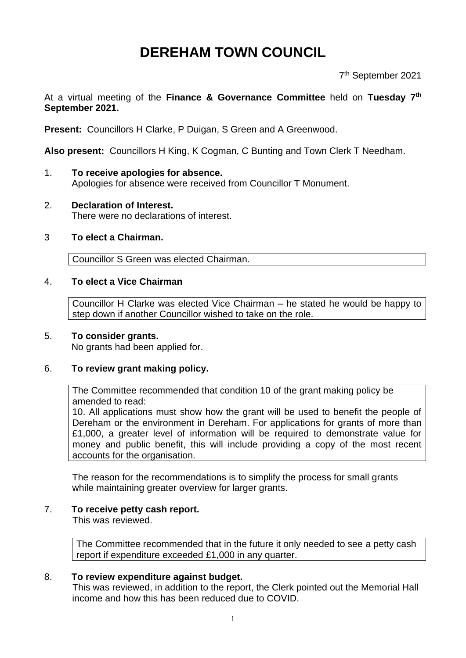# **DEREHAM TOWN COUNCIL**

7 th September 2021

## At a virtual meeting of the **Finance & Governance Committee** held on **Tuesday 7 th September 2021.**

**Present:** Councillors H Clarke, P Duigan, S Green and A Greenwood.

**Also present:** Councillors H King, K Cogman, C Bunting and Town Clerk T Needham.

- 1. **To receive apologies for absence.** Apologies for absence were received from Councillor T Monument.
- 2. **Declaration of Interest.** There were no declarations of interest.

#### 3 **To elect a Chairman.**

Councillor S Green was elected Chairman.

## 4. **To elect a Vice Chairman**

Councillor H Clarke was elected Vice Chairman – he stated he would be happy to step down if another Councillor wished to take on the role.

#### 5. **To consider grants.**

No grants had been applied for.

#### 6. **To review grant making policy.**

The Committee recommended that condition 10 of the grant making policy be amended to read:

10. All applications must show how the grant will be used to benefit the people of Dereham or the environment in Dereham. For applications for grants of more than £1,000, a greater level of information will be required to demonstrate value for money and public benefit, this will include providing a copy of the most recent accounts for the organisation.

The reason for the recommendations is to simplify the process for small grants while maintaining greater overview for larger grants.

#### 7. **To receive petty cash report.**

This was reviewed.

The Committee recommended that in the future it only needed to see a petty cash report if expenditure exceeded £1,000 in any quarter.

#### 8. **To review expenditure against budget.**

This was reviewed, in addition to the report, the Clerk pointed out the Memorial Hall income and how this has been reduced due to COVID.